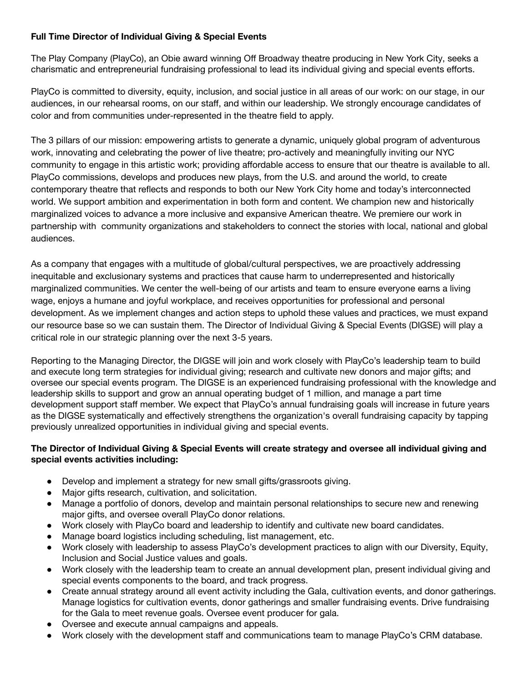# **Full Time Director of Individual Giving & Special Events**

The Play Company (PlayCo), an Obie award winning Off Broadway theatre producing in New York City, seeks a charismatic and entrepreneurial fundraising professional to lead its individual giving and special events efforts.

PlayCo is committed to diversity, equity, inclusion, and social justice in all areas of our work: on our stage, in our audiences, in our rehearsal rooms, on our staff, and within our leadership. We strongly encourage candidates of color and from communities under-represented in the theatre field to apply.

The 3 pillars of our mission: empowering artists to generate a dynamic, uniquely global program of adventurous work, innovating and celebrating the power of live theatre; pro-actively and meaningfully inviting our NYC community to engage in this artistic work; providing affordable access to ensure that our theatre is available to all. PlayCo commissions, develops and produces new plays, from the U.S. and around the world, to create contemporary theatre that reflects and responds to both our New York City home and today's interconnected world. We support ambition and experimentation in both form and content. We champion new and historically marginalized voices to advance a more inclusive and expansive American theatre. We premiere our work in partnership with community organizations and stakeholders to connect the stories with local, national and global audiences.

As a company that engages with a multitude of global/cultural perspectives, we are proactively addressing inequitable and exclusionary systems and practices that cause harm to underrepresented and historically marginalized communities. We center the well-being of our artists and team to ensure everyone earns a living wage, enjoys a humane and joyful workplace, and receives opportunities for professional and personal development. As we implement changes and action steps to uphold these values and practices, we must expand our resource base so we can sustain them. The Director of Individual Giving & Special Events (DIGSE) will play a critical role in our strategic planning over the next 3-5 years.

Reporting to the Managing Director, the DIGSE will join and work closely with PlayCo's leadership team to build and execute long term strategies for individual giving; research and cultivate new donors and major gifts; and oversee our special events program. The DIGSE is an experienced fundraising professional with the knowledge and leadership skills to support and grow an annual operating budget of 1 million, and manage a part time development support staff member. We expect that PlayCo's annual fundraising goals will increase in future years as the DIGSE systematically and effectively strengthens the organization's overall fundraising capacity by tapping previously unrealized opportunities in individual giving and special events.

## **The Director of Individual Giving & Special Events will create strategy and oversee all individual giving and special events activities including:**

- Develop and implement a strategy for new small gifts/grassroots giving.
- Major gifts research, cultivation, and solicitation.
- Manage a portfolio of donors, develop and maintain personal relationships to secure new and renewing major gifts, and oversee overall PlayCo donor relations.
- Work closely with PlayCo board and leadership to identify and cultivate new board candidates.
- Manage board logistics including scheduling, list management, etc.
- Work closely with leadership to assess PlayCo's development practices to align with our Diversity, Equity, Inclusion and Social Justice values and goals.
- Work closely with the leadership team to create an annual development plan, present individual giving and special events components to the board, and track progress.
- Create annual strategy around all event activity including the Gala, cultivation events, and donor gatherings. Manage logistics for cultivation events, donor gatherings and smaller fundraising events. Drive fundraising for the Gala to meet revenue goals. Oversee event producer for gala.
- Oversee and execute annual campaigns and appeals.
- Work closely with the development staff and communications team to manage PlayCo's CRM database.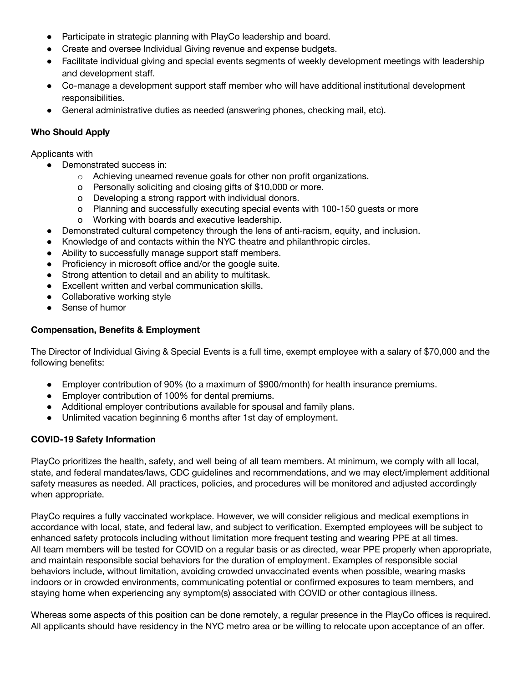- Participate in strategic planning with PlayCo leadership and board.
- Create and oversee Individual Giving revenue and expense budgets.
- Facilitate individual giving and special events segments of weekly development meetings with leadership and development staff.
- Co-manage a development support staff member who will have additional institutional development responsibilities.
- General administrative duties as needed (answering phones, checking mail, etc).

## **Who Should Apply**

Applicants with

- Demonstrated success in:
	- o Achieving unearned revenue goals for other non profit organizations.
	- o Personally soliciting and closing gifts of \$10,000 or more.
	- o Developing a strong rapport with individual donors.
	- o Planning and successfully executing special events with 100-150 guests or more
	- o Working with boards and executive leadership.
- Demonstrated cultural competency through the lens of anti-racism, equity, and inclusion.
- Knowledge of and contacts within the NYC theatre and philanthropic circles.
- Ability to successfully manage support staff members.
- Proficiency in microsoft office and/or the google suite.
- Strong attention to detail and an ability to multitask.
- Excellent written and verbal communication skills.
- Collaborative working style
- Sense of humor

## **Compensation, Benefits & Employment**

The Director of Individual Giving & Special Events is a full time, exempt employee with a salary of \$70,000 and the following benefits:

- Employer contribution of 90% (to a maximum of \$900/month) for health insurance premiums.
- Employer contribution of 100% for dental premiums.
- Additional employer contributions available for spousal and family plans.
- Unlimited vacation beginning 6 months after 1st day of employment.

#### **COVID-19 Safety Information**

PlayCo prioritizes the health, safety, and well being of all team members. At minimum, we comply with all local, state, and federal mandates/laws, CDC guidelines and recommendations, and we may elect/implement additional safety measures as needed. All practices, policies, and procedures will be monitored and adjusted accordingly when appropriate.

PlayCo requires a fully vaccinated workplace. However, we will consider religious and medical exemptions in accordance with local, state, and federal law, and subject to verification. Exempted employees will be subject to enhanced safety protocols including without limitation more frequent testing and wearing PPE at all times. All team members will be tested for COVID on a regular basis or as directed, wear PPE properly when appropriate, and maintain responsible social behaviors for the duration of employment. Examples of responsible social behaviors include, without limitation, avoiding crowded unvaccinated events when possible, wearing masks indoors or in crowded environments, communicating potential or confirmed exposures to team members, and staying home when experiencing any symptom(s) associated with COVID or other contagious illness.

Whereas some aspects of this position can be done remotely, a regular presence in the PlayCo offices is required. All applicants should have residency in the NYC metro area or be willing to relocate upon acceptance of an offer.